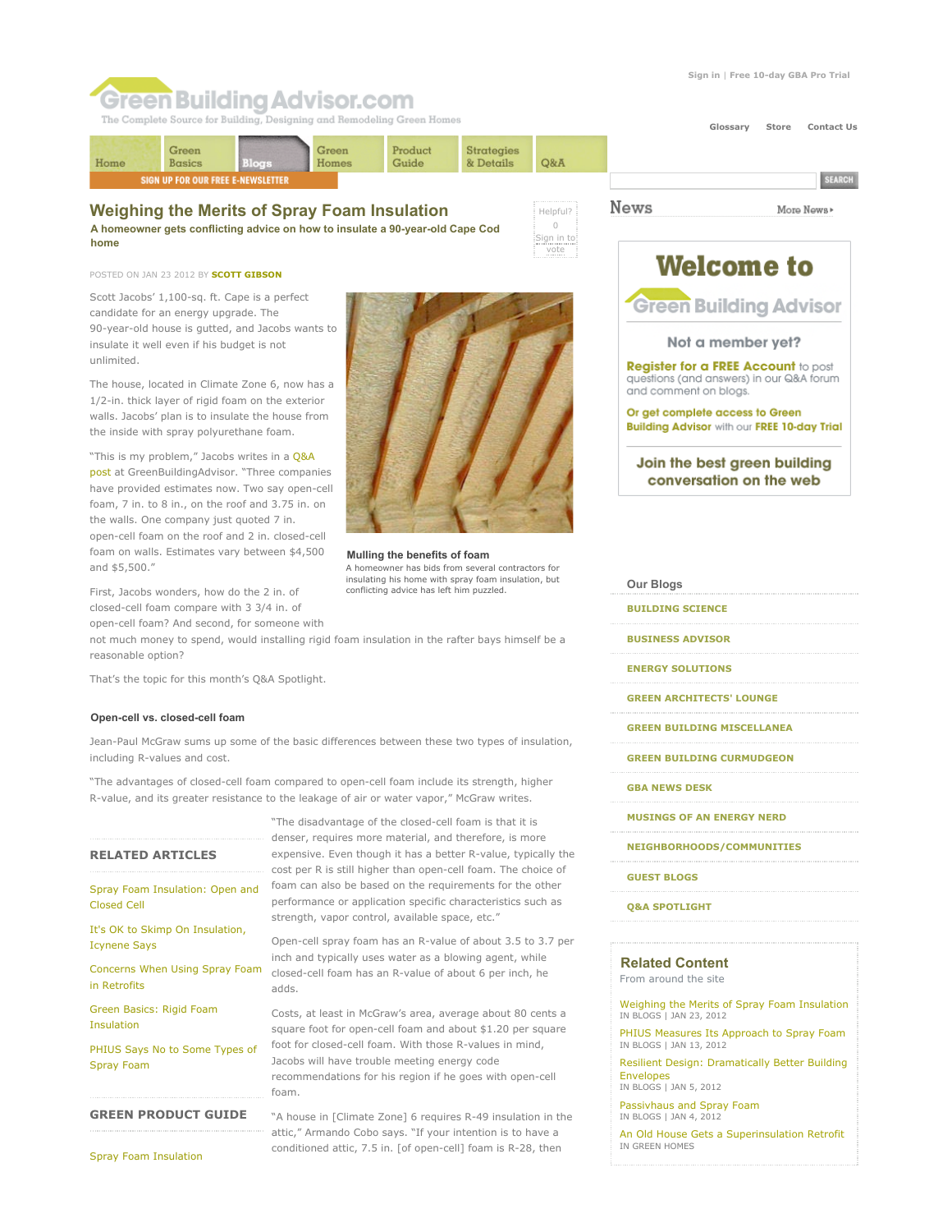**Welcome to** 

**Green Building Advisor** 

Not a member yet? **Register for a FREE Account to post** questions (and answers) in our Q&A forum

Join the best green building conversation on the web

and comment on blogs.

Or get complete access to Green **Building Advisor with our FREE 10-day Trial** 

More News»

# **Green Building Advisor.com**

The Complete Source for Building, Designing and Remodeling Green Homes



Helpful? 0 Sign in to vote

**News** 

### **Weighing the Merits of Spray Foam Insulation**

**A homeowner gets conflicting advice on how to insulate a 90-year-old Cape Cod home**

#### POSTED ON JAN 23 2012 BY **SCOTT GIBSON**

Scott Jacobs' 1,100-sq. ft. Cape is a perfect candidate for an energy upgrade. The 90-year-old house is gutted, and Jacobs wants to insulate it well even if his budget is not unlimited.

The house, located in Climate Zone 6, now has a 1/2-in. thick layer of rigid foam on the exterior walls. Jacobs' plan is to insulate the house from the inside with spray polyurethane foam.

"This is my problem," Jacobs writes in a Q&A post at GreenBuildingAdvisor. "Three companies have provided estimates now. Two say open-cell foam, 7 in. to 8 in., on the roof and 3.75 in. on the walls. One company just quoted 7 in. open-cell foam on the roof and 2 in. closed-cell foam on walls. Estimates vary between \$4,500 and \$5,500."

First, Jacobs wonders, how do the 2 in. of closed-cell foam compare with 3 3/4 in. of open-cell foam? And second, for someone with

not much money to spend, would installing rigid foam insulation in the rafter bays himself be a reasonable option?

That's the topic for this month's Q&A Spotlight.

#### **Open-cell vs. closed-cell foam**

Jean-Paul McGraw sums up some of the basic differences between these two types of insulation, including R-values and cost.

"The advantages of closed-cell foam compared to open-cell foam include its strength, higher R-value, and its greater resistance to the leakage of air or water vapor," McGraw writes.

adds.

foam.

### **RELATED ARTICLES**

Spray Foam Insulation: Open and Closed Cell

It's OK to Skimp On Insulation, Icynene Says

Concerns When Using Spray Foam in Retrofits

Green Basics: Rigid Foam Insulation

PHIUS Says No to Some Types of Spray Foam

**GREEN PRODUCT GUIDE**

Spray Foam Insulation



insulating his home with spray foam insulation, but conflicting advice has left him puzzled.

**NEIGHBORHOODS/COMMUNITIES**

- **GUEST BLOGS**
- **Q&A SPOTLIGHT**

#### **Related Content**

From around the site

Weighing the Merits of Spray Foam Insulation IN BLOGS | JAN 23, 2012

PHIUS Measures Its Approach to Spray Foam IN BLOGS | JAN 13, 2012

Resilient Design: Dramatically Better Building Envelopes

IN BLOGS | JAN 5, 2012

Passivhaus and Spray Foam IN BLOGS | JAN 4, 2012

An Old House Gets a Superinsulation Retrofit IN GREEN HOMES

**Mulling the benefits of foam**

A homeowner has bids from several contractors for

"The disadvantage of the closed-cell foam is that it is denser, requires more material, and therefore, is more expensive. Even though it has a better R-value, typically the cost per R is still higher than open-cell foam. The choice of foam can also be based on the requirements for the other performance or application specific characteristics such as

Open-cell spray foam has an R-value of about 3.5 to 3.7 per inch and typically uses water as a blowing agent, while closed-cell foam has an R-value of about 6 per inch, he

Costs, at least in McGraw's area, average about 80 cents a square foot for open-cell foam and about \$1.20 per square foot for closed-cell foam. With those R-values in mind, Jacobs will have trouble meeting energy code

recommendations for his region if he goes with open-cell

"A house in [Climate Zone] 6 requires R-49 insulation in the attic," Armando Cobo says. "If your intention is to have a conditioned attic, 7.5 in. [of open-cell] foam is R-28, then

strength, vapor control, available space, etc."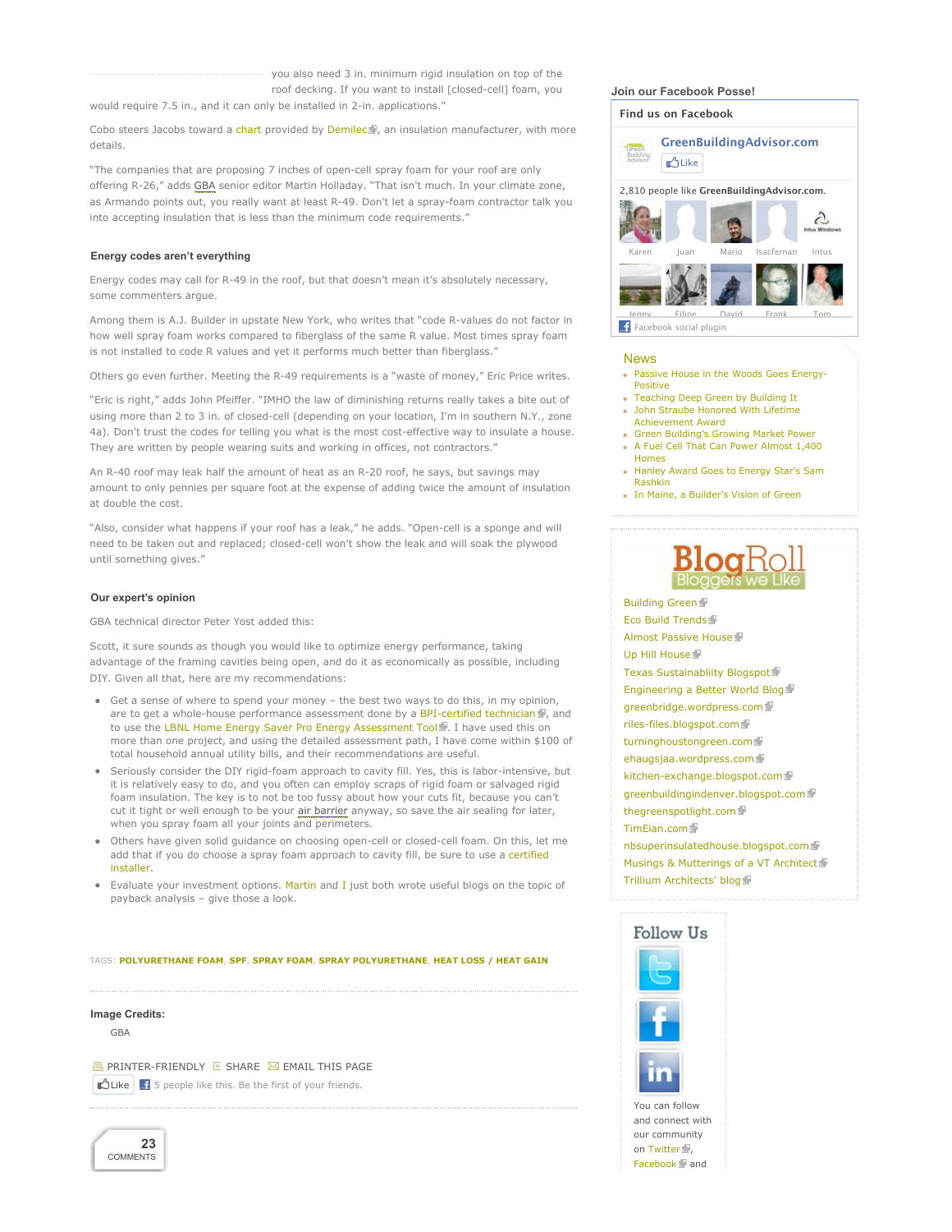you also need 3 in. minimum rigid insulation on top of the roof decking. If you want to install [closed-cell] foam, you

would require 7.5 in., and it can only be installed in 2-in. applications."

Cobo steers Jacobs toward a chart provided by Demilec , an insulation manufacturer, with more details.

"The companies that are proposing 7 inches of open-cell spray foam for your roof are only offering R-26," adds GBA senior editor Martin Holladay. "That isn't much. In your climate zone, as Armando points out, you really want at least R-49. Don't let a spray-foam contractor talk you into accepting insulation that is less than the minimum code requirements."

#### **Energy codes aren't everything**

Energy codes may call for R-49 in the roof, but that doesn't mean it's absolutely necessary, some commenters argue.

Among them is A.J. Builder in upstate New York, who writes that "code R-values do not factor in how well spray foam works compared to fiberglass of the same R value. Most times spray foam is not installed to code R values and yet it performs much better than fiberglass."

Others go even further. Meeting the R-49 requirements is a "waste of money," Eric Price writes.

"Eric is right," adds John Pfeiffer. "IMHO the law of diminishing returns really takes a bite out of using more than 2 to 3 in. of closed-cell (depending on your location, I'm in southern N.Y., zone 4a). Don't trust the codes for telling you what is the most cost-effective way to insulate a house. They are written by people wearing suits and working in offices, not contractors."

An R-40 roof may leak half the amount of heat as an R-20 roof, he says, but savings may amount to only pennies per square foot at the expense of adding twice the amount of insulation at double the cost.

"Also, consider what happens if your roof has a leak," he adds. "Open-cell is a sponge and will need to be taken out and replaced; closed-cell won't show the leak and will soak the plywood until something gives."

#### **Our expert's opinion**

GBA technical director Peter Yost added this:

Scott, it sure sounds as though you would like to optimize energy performance, taking advantage of the framing cavities being open, and do it as economically as possible, including DIY. Given all that, here are my recommendations:

- Get a sense of where to spend your money the best two ways to do this, in my opinion, are to get a whole-house performance assessment done by a BPI-certified technician , and to use the LBNL Home Energy Saver Pro Energy Assessment Tool . I have used this on more than one project, and using the detailed assessment path, I have come within \$100 of total household annual utility bills, and their recommendations are useful.
- Seriously consider the DIY rigid-foam approach to cavity fill. Yes, this is labor-intensive, but it is relatively easy to do, and you often can employ scraps of rigid foam or salvaged rigid foam insulation. The key is to not be too fussy about how your cuts fit, because you can't cut it tight or well enough to be your air barrier anyway, so save the air sealing for later, when you spray foam all your joints and perimeters.
- Others have given solid guidance on choosing open-cell or closed-cell foam. On this, let me add that if you do choose a spray foam approach to cavity fill, be sure to use a certified installer.
- **Evaluate your investment options. Martin and I just both wrote useful blogs on the topic of** payback analysis – give those a look.

TAGS: **POLYURETHANE FOAM**, **SPF**, **SPRAY FOAM**, **SPRAY POLYURETHANE**, **HEAT LOSS / HEAT GAIN**

#### **Image Credits:**

GBA

**B** PRINTER-FRIENDLY **E** SHARE **M** EMAIL THIS PAGE  $\bigcup_{i=1}^n$  Like  $\bigcup_{i=1}^n$  5 people like this. Be the first of your friends.



**Join our Facebook Posse!**



#### News

- Passive House in the Woods Goes Energy-Positive
- Teaching Deep Green by Building It John Straube Honored With Lifetime
- Achievement Award Green Building's Growing Market Power
- A Fuel Cell That Can Power Almost 1,400 Homes
- Hanley Award Goes to Energy Star's Sam Rashkin
- In Maine, a Builder's Vision of Green



**Building Green** Eco Build Trends **Almost Passive House** Up Hill House Texas Sustainabliity Blogspot Engineering a Better World Blog greenbridge.wordpress.com riles-files.blogspot.com turninghoustongreen.com ehaugsjaa.wordpress.com kitchen-exchange.blogspot.com greenbuildingindenver.blogspot.com thegreenspotlight.com **TimEian.com** nbsuperinsulatedhouse.blogspot.com Musings & Mutterings of a VT Architect **Trillium Architects' blog 图** 





and connect with our community on Twitter Facebook **N**and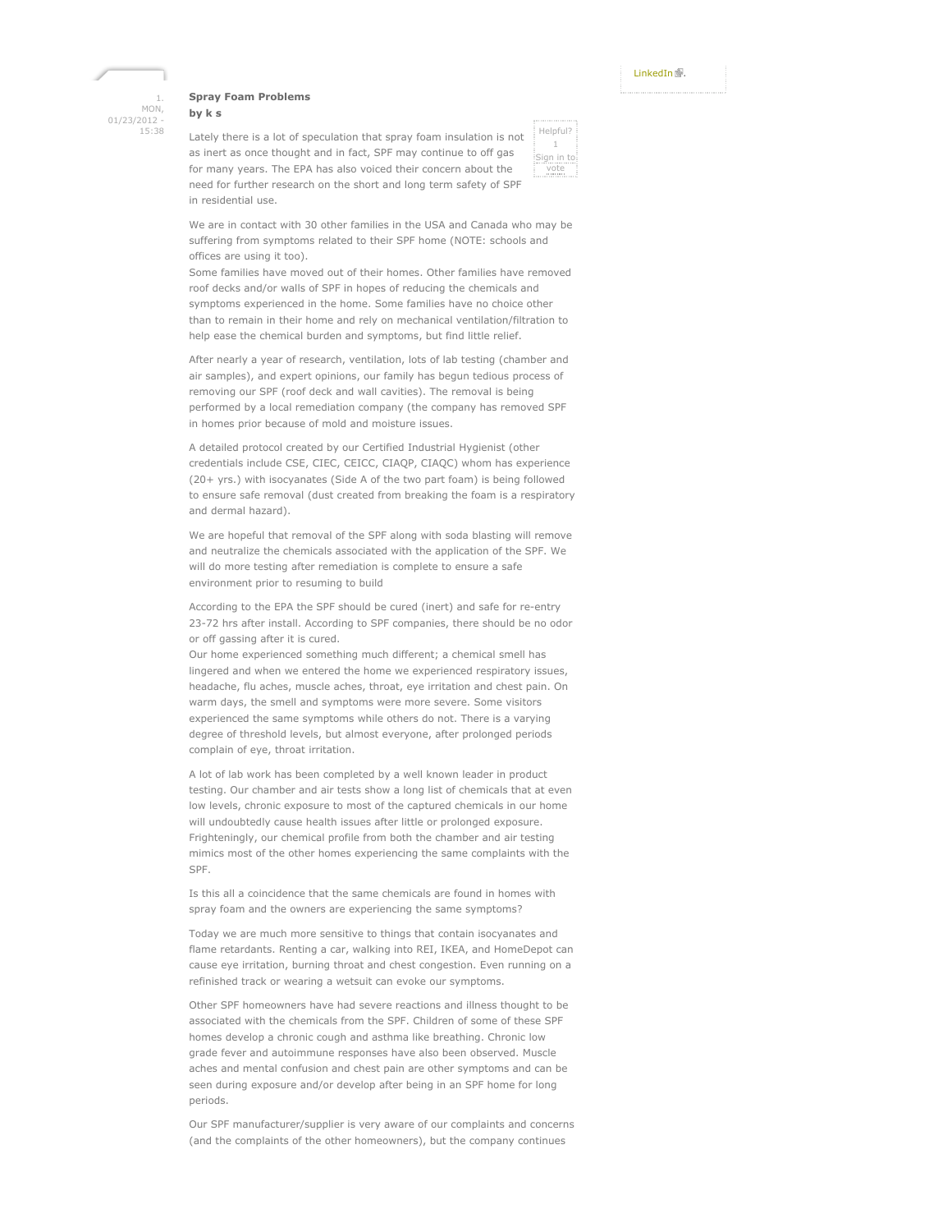#### **Spray Foam Problems**

1. MON, 01/23/2012 - 15:38

### **by k s**

Lately there is a lot of speculation that spray foam insulation is not as inert as once thought and in fact, SPF may continue to off gas for many years. The EPA has also voiced their concern about the need for further research on the short and long term safety of SPF in residential use.



We are in contact with 30 other families in the USA and Canada who may be suffering from symptoms related to their SPF home (NOTE: schools and offices are using it too).

Some families have moved out of their homes. Other families have removed roof decks and/or walls of SPF in hopes of reducing the chemicals and symptoms experienced in the home. Some families have no choice other than to remain in their home and rely on mechanical ventilation/filtration to help ease the chemical burden and symptoms, but find little relief.

After nearly a year of research, ventilation, lots of lab testing (chamber and air samples), and expert opinions, our family has begun tedious process of removing our SPF (roof deck and wall cavities). The removal is being performed by a local remediation company (the company has removed SPF in homes prior because of mold and moisture issues.

A detailed protocol created by our Certified Industrial Hygienist (other credentials include CSE, CIEC, CEICC, CIAQP, CIAQC) whom has experience (20+ yrs.) with isocyanates (Side A of the two part foam) is being followed to ensure safe removal (dust created from breaking the foam is a respiratory and dermal hazard).

We are hopeful that removal of the SPF along with soda blasting will remove and neutralize the chemicals associated with the application of the SPF. We will do more testing after remediation is complete to ensure a safe environment prior to resuming to build

According to the EPA the SPF should be cured (inert) and safe for re-entry 23-72 hrs after install. According to SPF companies, there should be no odor or off gassing after it is cured.

Our home experienced something much different; a chemical smell has lingered and when we entered the home we experienced respiratory issues, headache, flu aches, muscle aches, throat, eye irritation and chest pain. On warm days, the smell and symptoms were more severe. Some visitors experienced the same symptoms while others do not. There is a varying degree of threshold levels, but almost everyone, after prolonged periods complain of eye, throat irritation.

A lot of lab work has been completed by a well known leader in product testing. Our chamber and air tests show a long list of chemicals that at even low levels, chronic exposure to most of the captured chemicals in our home will undoubtedly cause health issues after little or prolonged exposure. Frighteningly, our chemical profile from both the chamber and air testing mimics most of the other homes experiencing the same complaints with the SPF.

Is this all a coincidence that the same chemicals are found in homes with spray foam and the owners are experiencing the same symptoms?

Today we are much more sensitive to things that contain isocyanates and flame retardants. Renting a car, walking into REI, IKEA, and HomeDepot can cause eye irritation, burning throat and chest congestion. Even running on a refinished track or wearing a wetsuit can evoke our symptoms.

Other SPF homeowners have had severe reactions and illness thought to be associated with the chemicals from the SPF. Children of some of these SPF homes develop a chronic cough and asthma like breathing. Chronic low grade fever and autoimmune responses have also been observed. Muscle aches and mental confusion and chest pain are other symptoms and can be seen during exposure and/or develop after being in an SPF home for long periods.

Our SPF manufacturer/supplier is very aware of our complaints and concerns (and the complaints of the other homeowners), but the company continues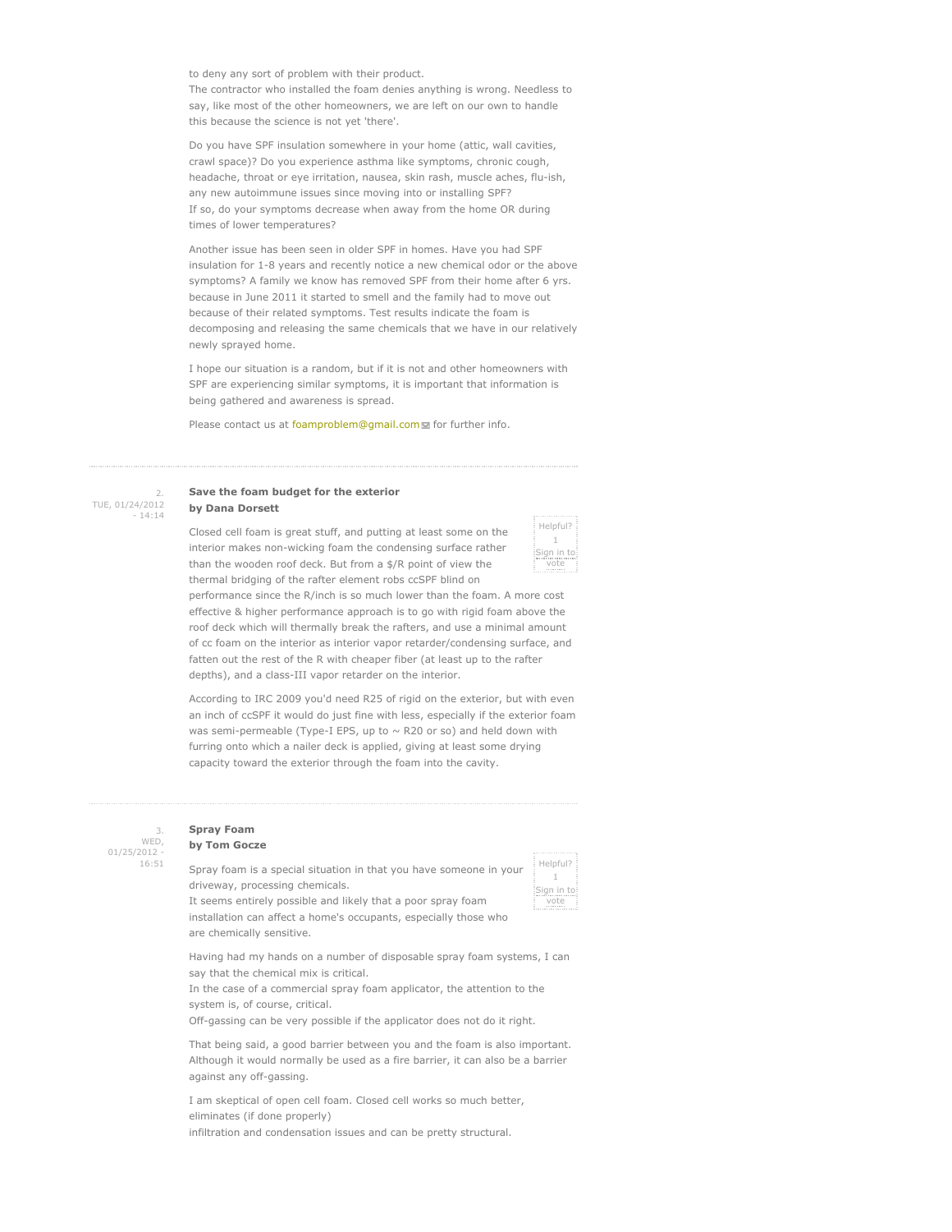to deny any sort of problem with their product. The contractor who installed the foam denies anything is wrong. Needless to say, like most of the other homeowners, we are left on our own to handle this because the science is not yet 'there'.

Do you have SPF insulation somewhere in your home (attic, wall cavities, crawl space)? Do you experience asthma like symptoms, chronic cough, headache, throat or eye irritation, nausea, skin rash, muscle aches, flu-ish, any new autoimmune issues since moving into or installing SPF? If so, do your symptoms decrease when away from the home OR during times of lower temperatures?

Another issue has been seen in older SPF in homes. Have you had SPF insulation for 1-8 years and recently notice a new chemical odor or the above symptoms? A family we know has removed SPF from their home after 6 yrs. because in June 2011 it started to smell and the family had to move out because of their related symptoms. Test results indicate the foam is decomposing and releasing the same chemicals that we have in our relatively newly sprayed home.

I hope our situation is a random, but if it is not and other homeowners with SPF are experiencing similar symptoms, it is important that information is being gathered and awareness is spread.

Please contact us at foamproblem@gmail.com of further info.



#### **Save the foam budget for the exterior by Dana Dorsett**

Closed cell foam is great stuff, and putting at least some on the interior makes non-wicking foam the condensing surface rather than the wooden roof deck. But from a \$/R point of view the thermal bridging of the rafter element robs ccSPF blind on

Helpful?  $1$ Sign in to vote

performance since the R/inch is so much lower than the foam. A more cost effective & higher performance approach is to go with rigid foam above the roof deck which will thermally break the rafters, and use a minimal amount of cc foam on the interior as interior vapor retarder/condensing surface, and fatten out the rest of the R with cheaper fiber (at least up to the rafter depths), and a class-III vapor retarder on the interior.

According to IRC 2009 you'd need R25 of rigid on the exterior, but with even an inch of ccSPF it would do just fine with less, especially if the exterior foam was semi-permeable (Type-I EPS, up to  $\sim$  R20 or so) and held down with furring onto which a nailer deck is applied, giving at least some drying capacity toward the exterior through the foam into the cavity.

3. WED, 01/25/2012 - 16:51

#### **Spray Foam by Tom Gocze**

Spray foam is a special situation in that you have someone in your driveway, processing chemicals. It seems entirely possible and likely that a poor spray foam

Helpful?  $1$ Sign in to vote

installation can affect a home's occupants, especially those who are chemically sensitive.

Having had my hands on a number of disposable spray foam systems, I can say that the chemical mix is critical.

In the case of a commercial spray foam applicator, the attention to the system is, of course, critical.

Off-gassing can be very possible if the applicator does not do it right.

That being said, a good barrier between you and the foam is also important. Although it would normally be used as a fire barrier, it can also be a barrier against any off-gassing.

I am skeptical of open cell foam. Closed cell works so much better, eliminates (if done properly) infiltration and condensation issues and can be pretty structural.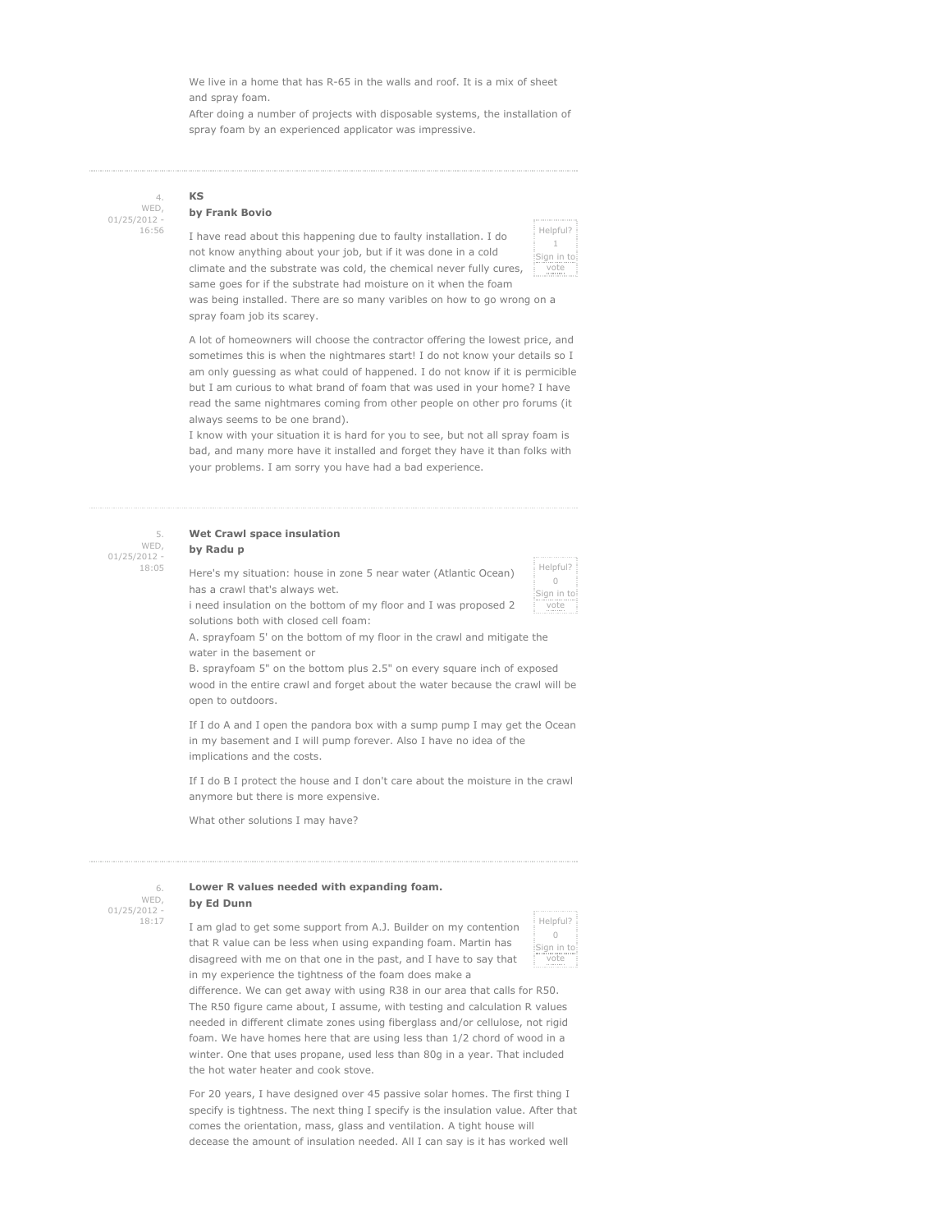We live in a home that has R-65 in the walls and roof. It is a mix of sheet and spray foam.

After doing a number of projects with disposable systems, the installation of spray foam by an experienced applicator was impressive.

4. WED, 01/25/2012 - 16:56

#### **by Frank Bovio**

**KS**

I have read about this happening due to faulty installation. I do not know anything about your job, but if it was done in a cold climate and the substrate was cold, the chemical never fully cures, same goes for if the substrate had moisture on it when the foam



was being installed. There are so many varibles on how to go wrong on a spray foam job its scarey.

A lot of homeowners will choose the contractor offering the lowest price, and sometimes this is when the nightmares start! I do not know your details so I am only guessing as what could of happened. I do not know if it is permicible but I am curious to what brand of foam that was used in your home? I have read the same nightmares coming from other people on other pro forums (it always seems to be one brand).

I know with your situation it is hard for you to see, but not all spray foam is bad, and many more have it installed and forget they have it than folks with your problems. I am sorry you have had a bad experience.

| WED,           |
|----------------|
| $01/25/2012 -$ |
| 18:05          |

### **Wet Crawl space insulation**

## **by Radu p**

Here's my situation: house in zone 5 near water (Atlantic Ocean) has a crawl that's always wet. i need insulation on the bottom of my floor and I was proposed 2



solutions both with closed cell foam:

A. sprayfoam 5' on the bottom of my floor in the crawl and mitigate the water in the basement or

B. sprayfoam 5" on the bottom plus 2.5" on every square inch of exposed wood in the entire crawl and forget about the water because the crawl will be open to outdoors.

If I do A and I open the pandora box with a sump pump I may get the Ocean in my basement and I will pump forever. Also I have no idea of the implications and the costs.

If I do B I protect the house and I don't care about the moisture in the crawl anymore but there is more expensive.

What other solutions I may have?

6. WED, 01/25/2012 - 18:17

#### **Lower R values needed with expanding foam. by Ed Dunn**

I am glad to get some support from A.J. Builder on my contention that R value can be less when using expanding foam. Martin has disagreed with me on that one in the past, and I have to say that in my experience the tightness of the foam does make a



difference. We can get away with using R38 in our area that calls for R50. The R50 figure came about, I assume, with testing and calculation R values needed in different climate zones using fiberglass and/or cellulose, not rigid foam. We have homes here that are using less than 1/2 chord of wood in a winter. One that uses propane, used less than 80g in a year. That included the hot water heater and cook stove.

For 20 years, I have designed over 45 passive solar homes. The first thing I specify is tightness. The next thing I specify is the insulation value. After that comes the orientation, mass, glass and ventilation. A tight house will decease the amount of insulation needed. All I can say is it has worked well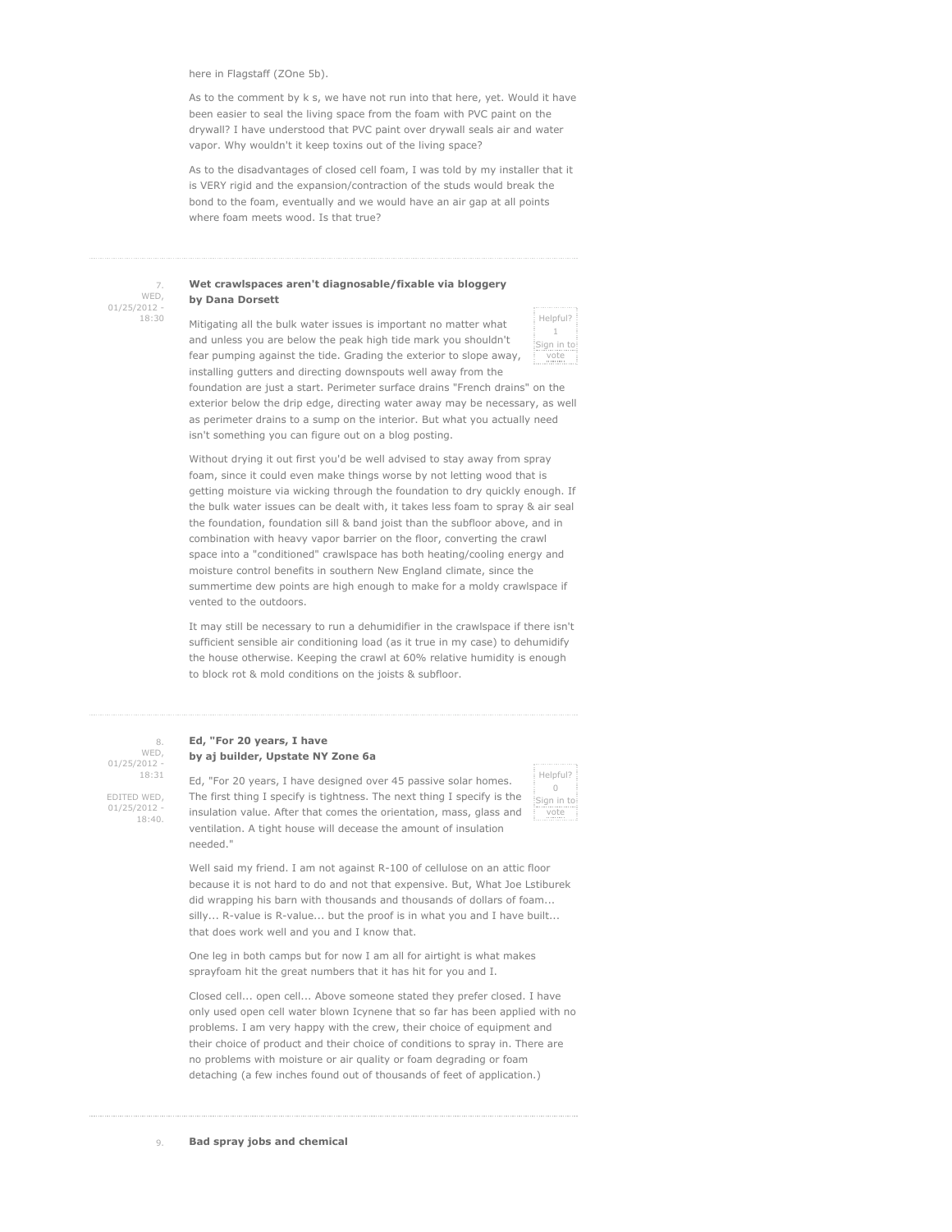here in Flagstaff (ZOne 5b).

As to the comment by k s, we have not run into that here, yet. Would it have been easier to seal the living space from the foam with PVC paint on the drywall? I have understood that PVC paint over drywall seals air and water vapor. Why wouldn't it keep toxins out of the living space?

As to the disadvantages of closed cell foam, I was told by my installer that it is VERY rigid and the expansion/contraction of the studs would break the bond to the foam, eventually and we would have an air gap at all points where foam meets wood. Is that true?

7. WED, 01/25/2012 - 18:30

#### **Wet crawlspaces aren't diagnosable/fixable via bloggery by Dana Dorsett**

Mitigating all the bulk water issues is important no matter what and unless you are below the peak high tide mark you shouldn't fear pumping against the tide. Grading the exterior to slope away, installing gutters and directing downspouts well away from the

Helpful? 1 Sign in to vote

foundation are just a start. Perimeter surface drains "French drains" on the exterior below the drip edge, directing water away may be necessary, as well as perimeter drains to a sump on the interior. But what you actually need isn't something you can figure out on a blog posting.

Without drying it out first you'd be well advised to stay away from spray foam, since it could even make things worse by not letting wood that is getting moisture via wicking through the foundation to dry quickly enough. If the bulk water issues can be dealt with, it takes less foam to spray & air seal the foundation, foundation sill & band joist than the subfloor above, and in combination with heavy vapor barrier on the floor, converting the crawl space into a "conditioned" crawlspace has both heating/cooling energy and moisture control benefits in southern New England climate, since the summertime dew points are high enough to make for a moldy crawlspace if vented to the outdoors.

It may still be necessary to run a dehumidifier in the crawlspace if there isn't sufficient sensible air conditioning load (as it true in my case) to dehumidify the house otherwise. Keeping the crawl at 60% relative humidity is enough to block rot & mold conditions on the joists & subfloor.

#### **Ed, "For 20 years, I have by aj builder, Upstate NY Zone 6a**

WED, 01/25/2012 - 18:31 EDITED WED, 01/25/2012

18:40.

8.

Ed, "For 20 years, I have designed over 45 passive solar homes. The first thing I specify is tightness. The next thing I specify is the insulation value. After that comes the orientation, mass, glass and ventilation. A tight house will decease the amount of insulation needed."

Helpful?  $\cup$ Sign in to vote

Well said my friend. I am not against R-100 of cellulose on an attic floor because it is not hard to do and not that expensive. But, What Joe Lstiburek did wrapping his barn with thousands and thousands of dollars of foam... silly... R-value is R-value... but the proof is in what you and I have built... that does work well and you and I know that.

One leg in both camps but for now I am all for airtight is what makes sprayfoam hit the great numbers that it has hit for you and I.

Closed cell... open cell... Above someone stated they prefer closed. I have only used open cell water blown Icynene that so far has been applied with no problems. I am very happy with the crew, their choice of equipment and their choice of product and their choice of conditions to spray in. There are no problems with moisture or air quality or foam degrading or foam detaching (a few inches found out of thousands of feet of application.)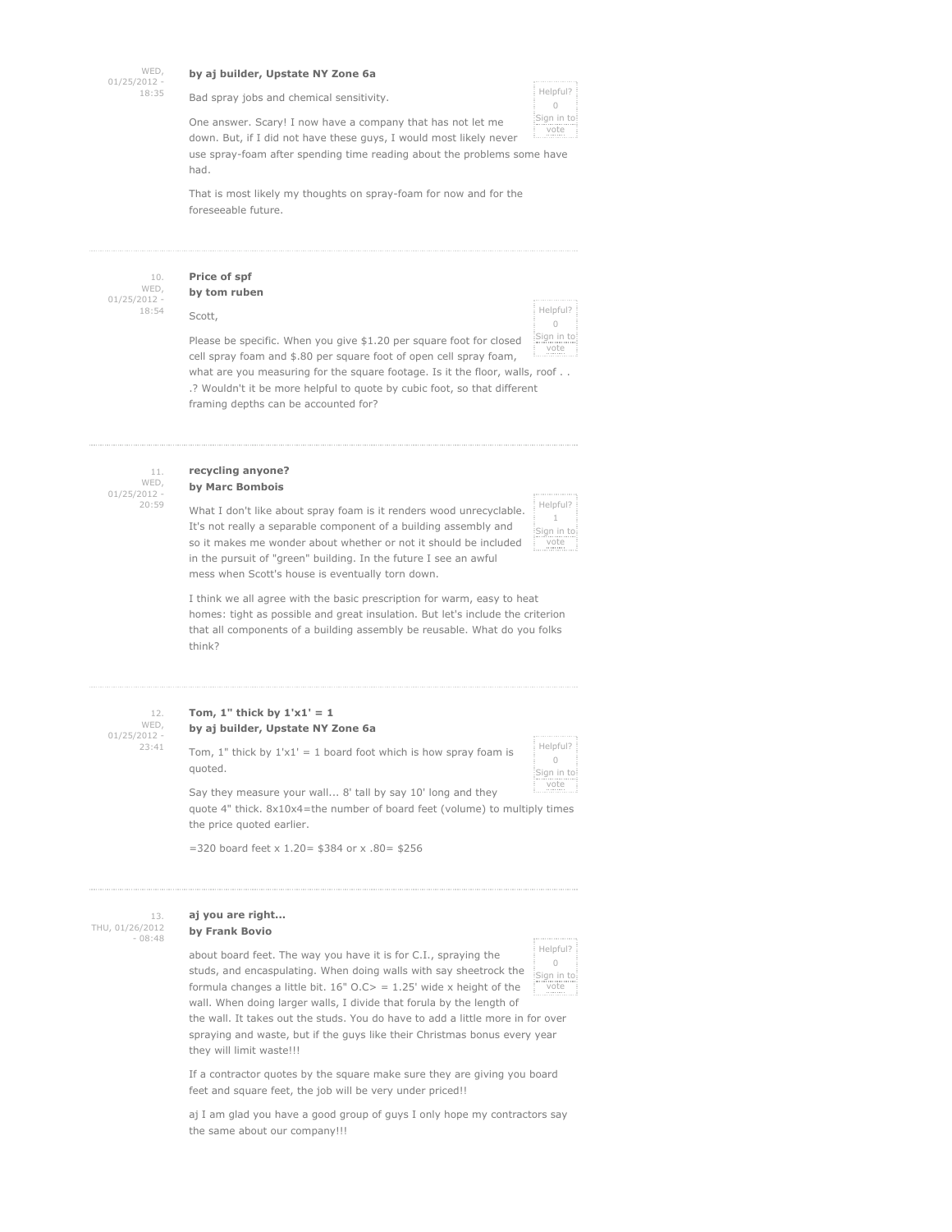WED,  $01/25/2012$ 18:35

#### **by aj builder, Upstate NY Zone 6a**

Bad spray jobs and chemical sensitivity.



One answer. Scary! I now have a company that has not let me down. But, if I did not have these guys, I would most likely never use spray-foam after spending time reading about the problems some have

had.

That is most likely my thoughts on spray-foam for now and for the foreseeable future.

10. WED, 01/25/2012 - 18:54

### **Price of spf by tom ruben**

Scott,

think?

| Helpful?<br>0<br>Sign in to |  |
|-----------------------------|--|
|                             |  |
|                             |  |

Helpful? 1 Sign in to vote

Please be specific. When you give \$1.20 per square foot for closed cell spray foam and \$.80 per square foot of open cell spray foam, what are you measuring for the square footage. Is it the floor, walls, roof . . .? Wouldn't it be more helpful to quote by cubic foot, so that different framing depths can be accounted for? e vote

11. WED,  $01/25/2012$ 20:59

### **recycling anyone? by Marc Bombois**

What I don't like about spray foam is it renders wood unrecyclable. It's not really a separable component of a building assembly and so it makes me wonder about whether or not it should be included in the pursuit of "green" building. In the future I see an awful

mess when Scott's house is eventually torn down. I think we all agree with the basic prescription for warm, easy to heat homes: tight as possible and great insulation. But let's include the criterion that all components of a building assembly be reusable. What do you folks

12. WED,  $01/25/2012$ 23:41

### Tom,  $1$ " thick by  $1' \times 1' = 1$ **by aj builder, Upstate NY Zone 6a**

Tom,  $1$ " thick by  $1'x1' = 1$  board foot which is how spray foam is quoted.



Say they measure your wall... 8' tall by say 10' long and they quote 4" thick. 8x10x4=the number of board feet (volume) to multiply times the price quoted earlier.

=320 board feet x 1.20= \$384 or x .80= \$256

13. THU, 01/26/2012 - 08:48

#### **aj you are right... by Frank Bovio**

about board feet. The way you have it is for C.I., spraying the studs, and encaspulating. When doing walls with say sheetrock the formula changes a little bit.  $16"$  O.C> = 1.25' wide x height of the wall. When doing larger walls, I divide that forula by the length of



the wall. It takes out the studs. You do have to add a little more in for over spraying and waste, but if the guys like their Christmas bonus every year they will limit waste!!!

If a contractor quotes by the square make sure they are giving you board feet and square feet, the job will be very under priced!!

aj I am glad you have a good group of guys I only hope my contractors say the same about our company!!!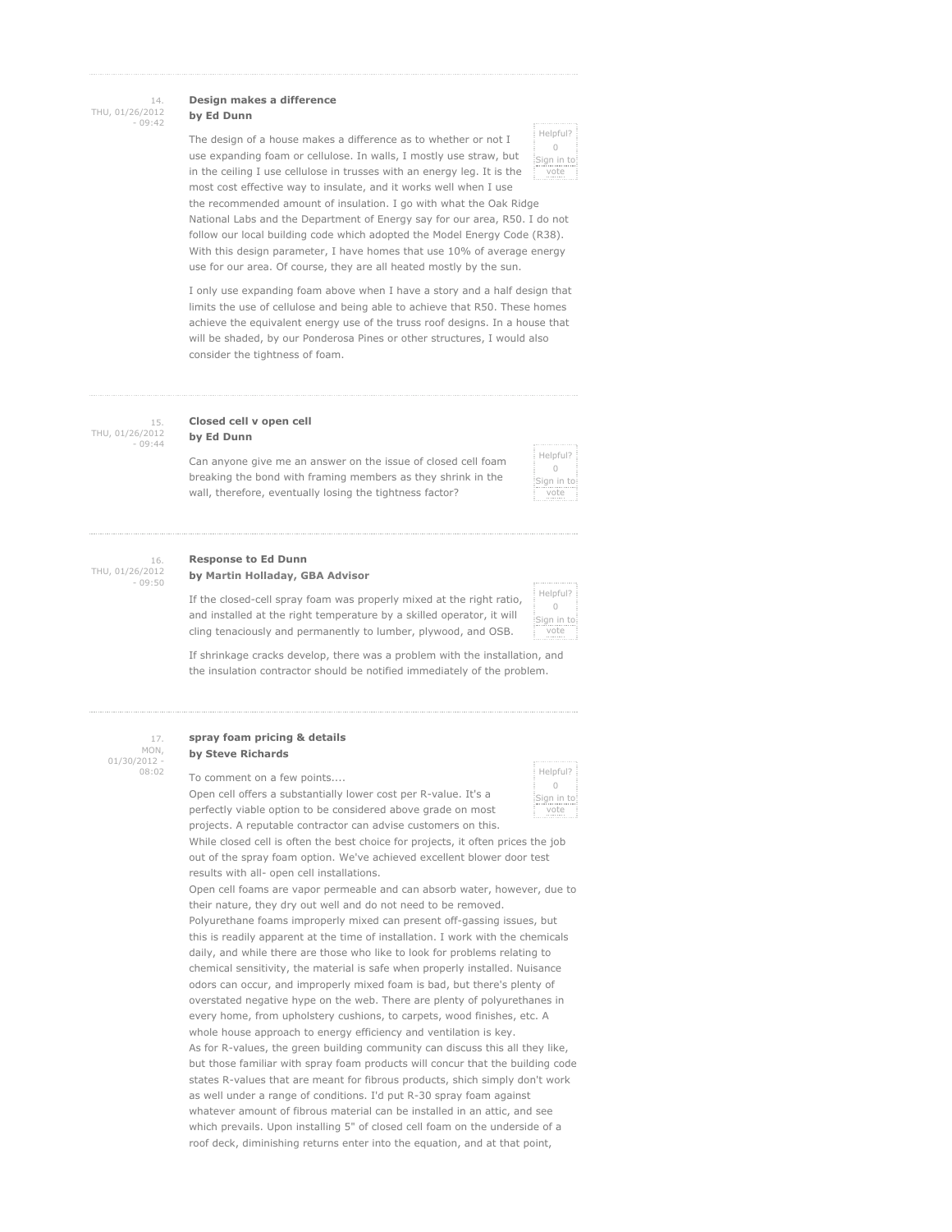#### 14. THU, 01/26/2012  $09:42$

#### **Design makes a difference by Ed Dunn**

The design of a house makes a difference as to whether or not I use expanding foam or cellulose. In walls, I mostly use straw, but in the ceiling I use cellulose in trusses with an energy leg. It is the most cost effective way to insulate, and it works well when I use

| Helpful?<br>0<br>Sign in to<br>vote |
|-------------------------------------|
|                                     |
|                                     |
|                                     |

the recommended amount of insulation. I go with what the Oak Ridge National Labs and the Department of Energy say for our area, R50. I do not follow our local building code which adopted the Model Energy Code (R38). With this design parameter, I have homes that use 10% of average energy use for our area. Of course, they are all heated mostly by the sun.

I only use expanding foam above when I have a story and a half design that limits the use of cellulose and being able to achieve that R50. These homes achieve the equivalent energy use of the truss roof designs. In a house that will be shaded, by our Ponderosa Pines or other structures, I would also consider the tightness of foam.

15. THU, 01/26/2012 - 09:44

### **Closed cell v open cell by Ed Dunn**

Can anyone give me an answer on the issue of closed cell foam breaking the bond with framing members as they shrink in the wall, therefore, eventually losing the tightness factor?

| Helpful?<br>0<br>Sign in to<br>vote |  |
|-------------------------------------|--|
|                                     |  |
|                                     |  |
|                                     |  |
|                                     |  |
|                                     |  |
|                                     |  |
|                                     |  |
|                                     |  |
|                                     |  |
|                                     |  |
|                                     |  |
|                                     |  |
|                                     |  |

16. THU, 01/26/2012 - 09:50

#### **Response to Ed Dunn by Martin Holladay, GBA Advisor**

If the closed-cell spray foam was properly mixed at the right ratio, and installed at the right temperature by a skilled operator, it will cling tenaciously and permanently to lumber, plywood, and OSB.

|               | ---------              |
|---------------|------------------------|
|               | Helpful?<br>Bign in to |
|               |                        |
|               |                        |
|               |                        |
|               |                        |
|               |                        |
|               |                        |
|               |                        |
|               |                        |
|               |                        |
|               | <b></b>                |
|               |                        |
|               |                        |
|               |                        |
|               |                        |
|               |                        |
|               |                        |
|               | vote                   |
| $\frac{1}{2}$ | Ē                      |
|               |                        |

If shrinkage cracks develop, there was a problem with the installation, and the insulation contractor should be notified immediately of the problem.

#### 17. MON, 01/30/2012 - 08:02

#### **spray foam pricing & details by Steve Richards**

To comment on a few points....

Open cell offers a substantially lower cost per R-value. It's a perfectly viable option to be considered above grade on most projects. A reputable contractor can advise customers on this.

While closed cell is often the best choice for projects, it often prices the job out of the spray foam option. We've achieved excellent blower door test results with all- open cell installations.

Open cell foams are vapor permeable and can absorb water, however, due to their nature, they dry out well and do not need to be removed. Polyurethane foams improperly mixed can present off-gassing issues, but this is readily apparent at the time of installation. I work with the chemicals daily, and while there are those who like to look for problems relating to chemical sensitivity, the material is safe when properly installed. Nuisance odors can occur, and improperly mixed foam is bad, but there's plenty of overstated negative hype on the web. There are plenty of polyurethanes in every home, from upholstery cushions, to carpets, wood finishes, etc. A whole house approach to energy efficiency and ventilation is key. As for R-values, the green building community can discuss this all they like, but those familiar with spray foam products will concur that the building code states R-values that are meant for fibrous products, shich simply don't work as well under a range of conditions. I'd put R-30 spray foam against whatever amount of fibrous material can be installed in an attic, and see which prevails. Upon installing 5" of closed cell foam on the underside of a roof deck, diminishing returns enter into the equation, and at that point,

|               | Helpful?  |      |  |
|---------------|-----------|------|--|
|               |           |      |  |
|               |           |      |  |
|               |           |      |  |
|               |           |      |  |
|               |           |      |  |
| $\frac{1}{2}$ |           |      |  |
|               | ign in to |      |  |
|               |           |      |  |
| ٠             |           |      |  |
| i             |           | vote |  |
| ÷             |           |      |  |
| ×             |           |      |  |
|               |           |      |  |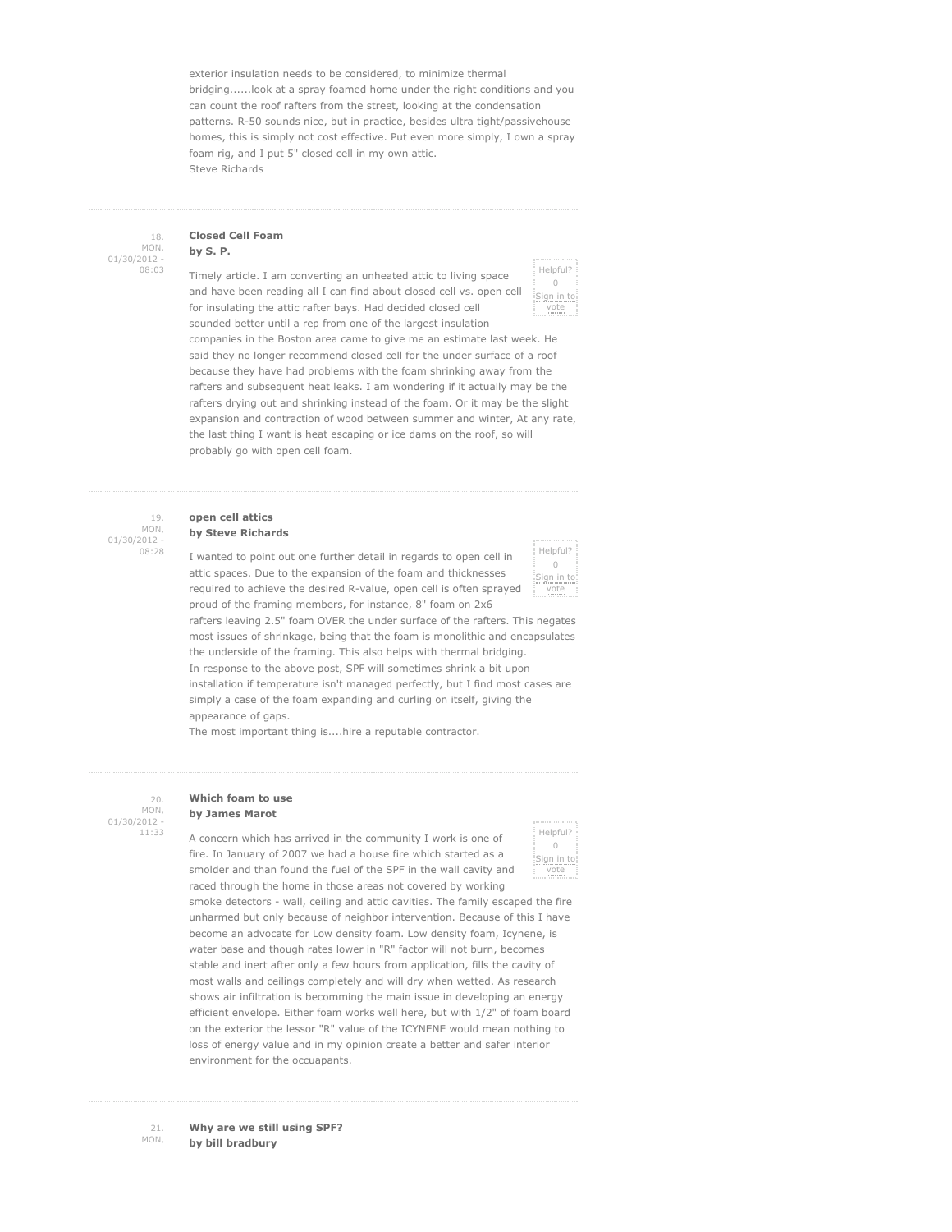exterior insulation needs to be considered, to minimize thermal bridging......look at a spray foamed home under the right conditions and you can count the roof rafters from the street, looking at the condensation patterns. R-50 sounds nice, but in practice, besides ultra tight/passivehouse homes, this is simply not cost effective. Put even more simply, I own a spray foam rig, and I put 5" closed cell in my own attic. Steve Richards

### **Closed Cell Foam by S. P.**

Timely article. I am converting an unheated attic to living space and have been reading all I can find about closed cell vs. open cell for insulating the attic rafter bays. Had decided closed cell sounded better until a rep from one of the largest insulation



companies in the Boston area came to give me an estimate last week. He said they no longer recommend closed cell for the under surface of a roof because they have had problems with the foam shrinking away from the rafters and subsequent heat leaks. I am wondering if it actually may be the rafters drying out and shrinking instead of the foam. Or it may be the slight expansion and contraction of wood between summer and winter, At any rate, the last thing I want is heat escaping or ice dams on the roof, so will probably go with open cell foam.

#### 19. MON, 01/30/2012 - 08:28

#### **open cell attics by Steve Richards**

I wanted to point out one further detail in regards to open cell in attic spaces. Due to the expansion of the foam and thicknesses required to achieve the desired R-value, open cell is often sprayed proud of the framing members, for instance, 8" foam on 2x6



rafters leaving 2.5" foam OVER the under surface of the rafters. This negates most issues of shrinkage, being that the foam is monolithic and encapsulates the underside of the framing. This also helps with thermal bridging. In response to the above post, SPF will sometimes shrink a bit upon installation if temperature isn't managed perfectly, but I find most cases are simply a case of the foam expanding and curling on itself, giving the appearance of gaps.

The most important thing is....hire a reputable contractor.

# **Which foam to use**

MON,  $01/30/2012$ 11:33

 $20.$ 

# **by James Marot**

A concern which has arrived in the community I work is one of fire. In January of 2007 we had a house fire which started as a smolder and than found the fuel of the SPF in the wall cavity and raced through the home in those areas not covered by working



smoke detectors - wall, ceiling and attic cavities. The family escaped the fire unharmed but only because of neighbor intervention. Because of this I have become an advocate for Low density foam. Low density foam, Icynene, is water base and though rates lower in "R" factor will not burn, becomes stable and inert after only a few hours from application, fills the cavity of most walls and ceilings completely and will dry when wetted. As research shows air infiltration is becomming the main issue in developing an energy efficient envelope. Either foam works well here, but with 1/2" of foam board on the exterior the lessor "R" value of the ICYNENE would mean nothing to loss of energy value and in my opinion create a better and safer interior environment for the occuapants.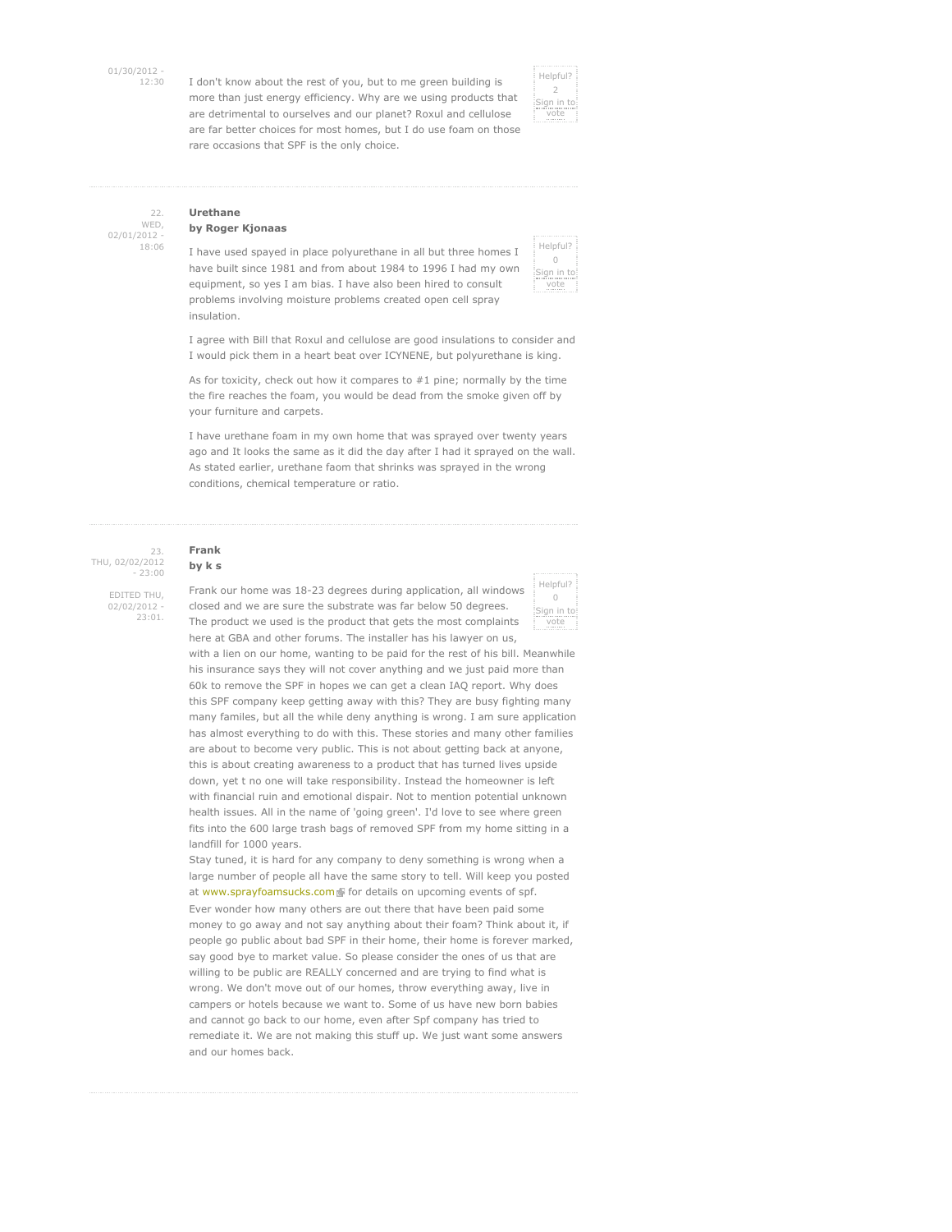01/30/2012 -

12:30 I don't know about the rest of you, but to me green building is more than just energy efficiency. Why are we using products that are detrimental to ourselves and our planet? Roxul and cellulose are far better choices for most homes, but I do use foam on those rare occasions that SPF is the only choice.



#### 22. WED, 02/01/2012 - 18:06

### **Urethane by Roger Kjonaas**

I have used spayed in place polyurethane in all but three homes I have built since 1981 and from about 1984 to 1996 I had my own equipment, so yes I am bias. I have also been hired to consult problems involving moisture problems created open cell spray insulation.

Helpful?  $\bigcirc$ Sign in to vote

I agree with Bill that Roxul and cellulose are good insulations to consider and I would pick them in a heart beat over ICYNENE, but polyurethane is king.

As for toxicity, check out how it compares to #1 pine; normally by the time the fire reaches the foam, you would be dead from the smoke given off by your furniture and carpets.

I have urethane foam in my own home that was sprayed over twenty years ago and It looks the same as it did the day after I had it sprayed on the wall. As stated earlier, urethane faom that shrinks was sprayed in the wrong conditions, chemical temperature or ratio.

23. THU, 02/02/2012  $-23:00$ EDITED THU,

02/02/2012 - 23:01.

### **Frank by k s**

Frank our home was 18-23 degrees during application, all windows closed and we are sure the substrate was far below 50 degrees. The product we used is the product that gets the most complaints here at GBA and other forums. The installer has his lawyer on us,

Helpful?  $\bigcap$ Sign in to vote

with a lien on our home, wanting to be paid for the rest of his bill. Meanwhile his insurance says they will not cover anything and we just paid more than 60k to remove the SPF in hopes we can get a clean IAQ report. Why does this SPF company keep getting away with this? They are busy fighting many many familes, but all the while deny anything is wrong. I am sure application has almost everything to do with this. These stories and many other families are about to become very public. This is not about getting back at anyone, this is about creating awareness to a product that has turned lives upside down, yet t no one will take responsibility. Instead the homeowner is left with financial ruin and emotional dispair. Not to mention potential unknown health issues. All in the name of 'going green'. I'd love to see where green fits into the 600 large trash bags of removed SPF from my home sitting in a landfill for 1000 years.

Stay tuned, it is hard for any company to deny something is wrong when a large number of people all have the same story to tell. Will keep you posted at www.sprayfoamsucks.com For details on upcoming events of spf. Ever wonder how many others are out there that have been paid some money to go away and not say anything about their foam? Think about it, if people go public about bad SPF in their home, their home is forever marked, say good bye to market value. So please consider the ones of us that are willing to be public are REALLY concerned and are trying to find what is wrong. We don't move out of our homes, throw everything away, live in campers or hotels because we want to. Some of us have new born babies and cannot go back to our home, even after Spf company has tried to remediate it. We are not making this stuff up. We just want some answers and our homes back.